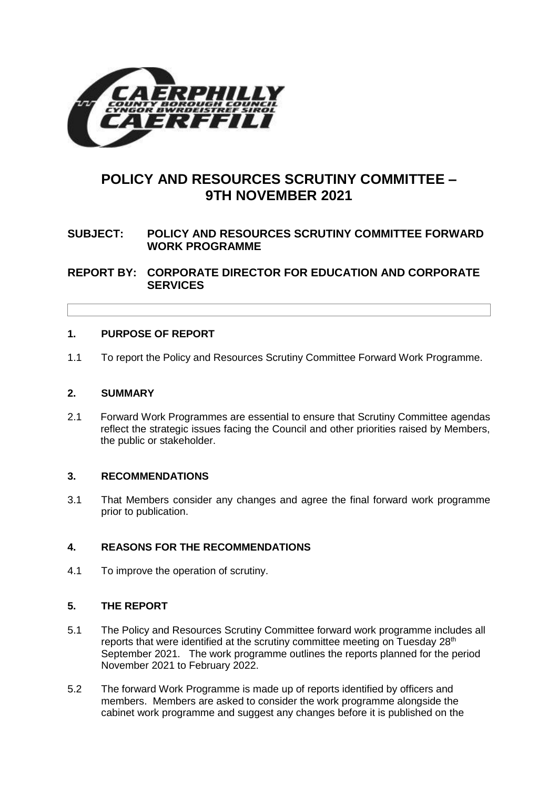

# **POLICY AND RESOURCES SCRUTINY COMMITTEE – 9TH NOVEMBER 2021**

## **SUBJECT: POLICY AND RESOURCES SCRUTINY COMMITTEE FORWARD WORK PROGRAMME**

**REPORT BY: CORPORATE DIRECTOR FOR EDUCATION AND CORPORATE SERVICES**

## **1. PURPOSE OF REPORT**

1.1 To report the Policy and Resources Scrutiny Committee Forward Work Programme.

### **2. SUMMARY**

2.1 Forward Work Programmes are essential to ensure that Scrutiny Committee agendas reflect the strategic issues facing the Council and other priorities raised by Members, the public or stakeholder.

## **3. RECOMMENDATIONS**

3.1 That Members consider any changes and agree the final forward work programme prior to publication.

## **4. REASONS FOR THE RECOMMENDATIONS**

4.1 To improve the operation of scrutiny.

## **5. THE REPORT**

- 5.1 The Policy and Resources Scrutiny Committee forward work programme includes all reports that were identified at the scrutiny committee meeting on Tuesday 28<sup>th</sup> September 2021. The work programme outlines the reports planned for the period November 2021 to February 2022.
- 5.2 The forward Work Programme is made up of reports identified by officers and members. Members are asked to consider the work programme alongside the cabinet work programme and suggest any changes before it is published on the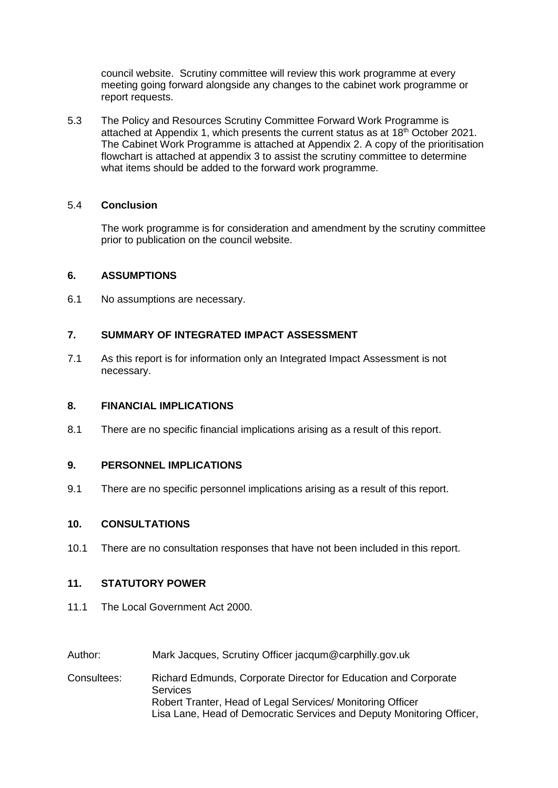council website. Scrutiny committee will review this work programme at every meeting going forward alongside any changes to the cabinet work programme or report requests.

5.3 The Policy and Resources Scrutiny Committee Forward Work Programme is attached at Appendix 1, which presents the current status as at 18<sup>th</sup> October 2021. The Cabinet Work Programme is attached at Appendix 2. A copy of the prioritisation flowchart is attached at appendix 3 to assist the scrutiny committee to determine what items should be added to the forward work programme.

#### 5.4 **Conclusion**

The work programme is for consideration and amendment by the scrutiny committee prior to publication on the council website.

#### **6. ASSUMPTIONS**

6.1 No assumptions are necessary.

## **7. SUMMARY OF INTEGRATED IMPACT ASSESSMENT**

7.1 As this report is for information only an Integrated Impact Assessment is not necessary.

#### **8. FINANCIAL IMPLICATIONS**

8.1 There are no specific financial implications arising as a result of this report.

## **9. PERSONNEL IMPLICATIONS**

9.1 There are no specific personnel implications arising as a result of this report.

#### **10. CONSULTATIONS**

10.1 There are no consultation responses that have not been included in this report.

## **11. STATUTORY POWER**

- 11.1 The Local Government Act 2000.
- Author: Mark Jacques, Scrutiny Officer jacqum@carphilly.gov.uk
- Consultees: Richard Edmunds, Corporate Director for Education and Corporate **Services** Robert Tranter, Head of Legal Services/ Monitoring Officer Lisa Lane, Head of Democratic Services and Deputy Monitoring Officer,